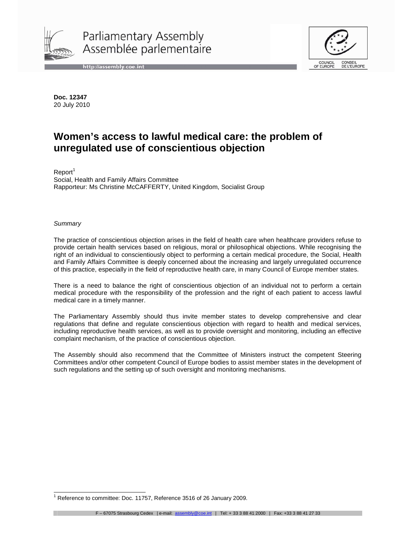

Parliamentary Assembly Assemblée parlementaire





**Doc. 12347**  20 July 2010

# **Women's access to lawful medical care: the problem of unregulated use of conscientious objection**

 $Report<sup>1</sup>$ Social, Health and Family Affairs Committee Rapporteur: Ms Christine McCAFFERTY, United Kingdom, Socialist Group

#### **Summary**

The practice of conscientious objection arises in the field of health care when healthcare providers refuse to provide certain health services based on religious, moral or philosophical objections. While recognising the right of an individual to conscientiously object to performing a certain medical procedure, the Social, Health and Family Affairs Committee is deeply concerned about the increasing and largely unregulated occurrence of this practice, especially in the field of reproductive health care, in many Council of Europe member states.

There is a need to balance the right of conscientious objection of an individual not to perform a certain medical procedure with the responsibility of the profession and the right of each patient to access lawful medical care in a timely manner.

The Parliamentary Assembly should thus invite member states to develop comprehensive and clear regulations that define and regulate conscientious objection with regard to health and medical services, including reproductive health services, as well as to provide oversight and monitoring, including an effective complaint mechanism, of the practice of conscientious objection.

The Assembly should also recommend that the Committee of Ministers instruct the competent Steering Committees and/or other competent Council of Europe bodies to assist member states in the development of such regulations and the setting up of such oversight and monitoring mechanisms.

 1 Reference to committee: Doc. 11757, Reference 3516 of 26 January 2009.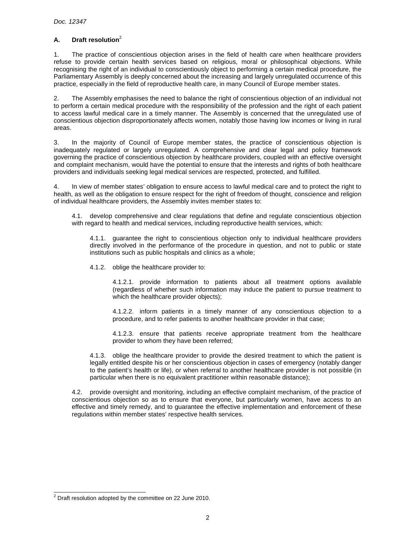# **A. Draft resolution**<sup>2</sup>

1. The practice of conscientious objection arises in the field of health care when healthcare providers refuse to provide certain health services based on religious, moral or philosophical objections. While recognising the right of an individual to conscientiously object to performing a certain medical procedure, the Parliamentary Assembly is deeply concerned about the increasing and largely unregulated occurrence of this practice, especially in the field of reproductive health care, in many Council of Europe member states.

2. The Assembly emphasises the need to balance the right of conscientious objection of an individual not to perform a certain medical procedure with the responsibility of the profession and the right of each patient to access lawful medical care in a timely manner. The Assembly is concerned that the unregulated use of conscientious objection disproportionately affects women, notably those having low incomes or living in rural areas.

3. In the majority of Council of Europe member states, the practice of conscientious objection is inadequately regulated or largely unregulated. A comprehensive and clear legal and policy framework governing the practice of conscientious objection by healthcare providers, coupled with an effective oversight and complaint mechanism, would have the potential to ensure that the interests and rights of both healthcare providers and individuals seeking legal medical services are respected, protected, and fulfilled.

4. In view of member states' obligation to ensure access to lawful medical care and to protect the right to health, as well as the obligation to ensure respect for the right of freedom of thought, conscience and religion of individual healthcare providers, the Assembly invites member states to:

 4.1. develop comprehensive and clear regulations that define and regulate conscientious objection with regard to health and medical services, including reproductive health services, which:

4.1.1. guarantee the right to conscientious objection only to individual healthcare providers directly involved in the performance of the procedure in question, and not to public or state institutions such as public hospitals and clinics as a whole;

4.1.2. oblige the healthcare provider to:

4.1.2.1. provide information to patients about all treatment options available (regardless of whether such information may induce the patient to pursue treatment to which the healthcare provider objects);

4.1.2.2. inform patients in a timely manner of any conscientious objection to a procedure, and to refer patients to another healthcare provider in that case;

4.1.2.3. ensure that patients receive appropriate treatment from the healthcare provider to whom they have been referred;

 4.1.3. oblige the healthcare provider to provide the desired treatment to which the patient is legally entitled despite his or her conscientious objection in cases of emergency (notably danger to the patient's health or life), or when referral to another healthcare provider is not possible (in particular when there is no equivalent practitioner within reasonable distance);

 4.2. provide oversight and monitoring, including an effective complaint mechanism, of the practice of conscientious objection so as to ensure that everyone, but particularly women, have access to an effective and timely remedy, and to guarantee the effective implementation and enforcement of these regulations within member states' respective health services.

<sup>&</sup>lt;sup>2</sup> Draft resolution adopted by the committee on 22 June 2010.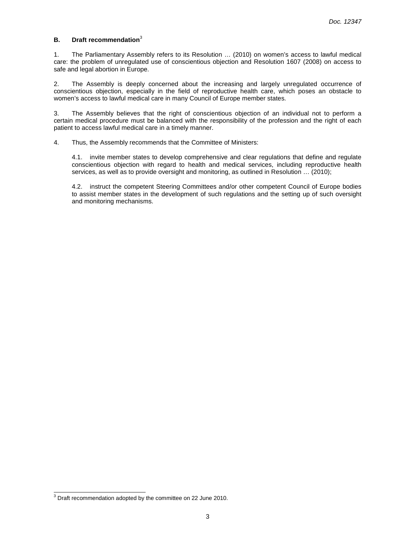## **B. Draft recommendation**<sup>3</sup>

1. The Parliamentary Assembly refers to its Resolution … (2010) on women's access to lawful medical care: the problem of unregulated use of conscientious objection and Resolution 1607 (2008) on access to safe and legal abortion in Europe.

2. The Assembly is deeply concerned about the increasing and largely unregulated occurrence of conscientious objection, especially in the field of reproductive health care, which poses an obstacle to women's access to lawful medical care in many Council of Europe member states.

3. The Assembly believes that the right of conscientious objection of an individual not to perform a certain medical procedure must be balanced with the responsibility of the profession and the right of each patient to access lawful medical care in a timely manner.

4. Thus, the Assembly recommends that the Committee of Ministers:

4.1. invite member states to develop comprehensive and clear regulations that define and regulate conscientious objection with regard to health and medical services, including reproductive health services, as well as to provide oversight and monitoring, as outlined in Resolution … (2010);

4.2. instruct the competent Steering Committees and/or other competent Council of Europe bodies to assist member states in the development of such regulations and the setting up of such oversight and monitoring mechanisms.

 3 Draft recommendation adopted by the committee on 22 June 2010.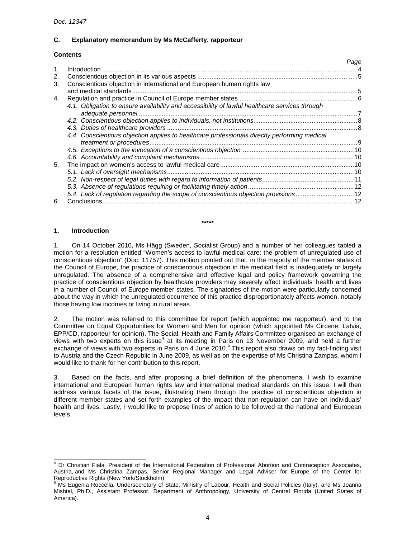# **C. Explanatory memorandum by Ms McCafferty, rapporteur**

# **Contents**

|    |                                                                                                | Page |
|----|------------------------------------------------------------------------------------------------|------|
|    |                                                                                                |      |
| 2. |                                                                                                |      |
| 3. | Conscientious objection in international and European human rights law                         |      |
|    |                                                                                                |      |
| 4. |                                                                                                |      |
|    | 4.1. Obligation to ensure availability and accessibility of lawful healthcare services through |      |
|    |                                                                                                |      |
|    |                                                                                                |      |
|    |                                                                                                |      |
|    | 4.4. Conscientious objection applies to healthcare professionals directly performing medical   |      |
|    |                                                                                                |      |
|    |                                                                                                |      |
|    |                                                                                                |      |
| 5. |                                                                                                |      |
|    |                                                                                                |      |
|    |                                                                                                |      |
|    |                                                                                                |      |
|    | 5.4. Lack of regulation regarding the scope of conscientious objection provisions 12           |      |
| 6. | Conclusions                                                                                    |      |
|    |                                                                                                |      |

#### **\*\*\*\*\***

#### **1. Introduction**

 $\overline{a}$ 

1. On 14 October 2010, Ms Hägg (Sweden, Socialist Group) and a number of her colleagues tabled a motion for a resolution entitled "Women's access to lawful medical care: the problem of unregulated use of conscientious objection" (Doc. 11757). This motion pointed out that, in the majority of the member states of the Council of Europe, the practice of conscientious objection in the medical field is inadequately or largely unregulated. The absence of a comprehensive and effective legal and policy framework governing the practice of conscientious objection by healthcare providers may severely affect individuals' health and lives in a number of Council of Europe member states. The signatories of the motion were particularly concerned about the way in which the unregulated occurrence of this practice disproportionately affects women, notably those having low incomes or living in rural areas.

2. The motion was referred to this committee for report (which appointed me rapporteur), and to the Committee on Equal Opportunities for Women and Men for opinion (which appointed Ms Circene, Latvia, EPP/CD, rapporteur for opinion). The Social, Health and Family Affairs Committee organised an exchange of views with two experts on this issue<sup>4</sup> at its meeting in Paris on 13 November 2009, and held a further exchange of views with two experts in Paris on 4 June 2010.<sup>5</sup> This report also draws on my fact-finding visit to Austria and the Czech Republic in June 2009, as well as on the expertise of Ms Christina Zampas, whom I would like to thank for her contribution to this report.

3. Based on the facts, and after proposing a brief definition of the phenomena, I wish to examine international and European human rights law and international medical standards on this issue. I will then address various facets of the issue, illustrating them through the practice of conscientious objection in different member states and set forth examples of the impact that non-regulation can have on individuals' health and lives. Lastly, I would like to propose lines of action to be followed at the national and European levels.

<sup>4</sup> Dr Christian Fiala, President of the International Federation of Professional Abortion and Contraception Associates, Austria, and Ms Christina Zampas, Senior Regional Manager and Legal Adviser for Europe of the Center for Reproductive Rights (New York/Stockholm).<br><sup>5</sup> Me Eugenia Beaselle, Undersecratory of S

Ms Eugenia Roccella, Undersecretary of State, Ministry of Labour, Health and Social Policies (Italy), and Ms Joanna Mishtal, Ph.D., Assistant Professor, Department of Anthropology, University of Central Florida (United States of America).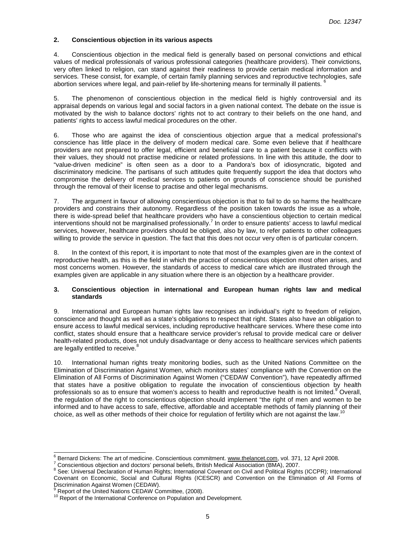## **2. Conscientious objection in its various aspects**

4. Conscientious objection in the medical field is generally based on personal convictions and ethical values of medical professionals of various professional categories (healthcare providers). Their convictions, very often linked to religion, can stand against their readiness to provide certain medical information and services. These consist, for example, of certain family planning services and reproductive technologies, safe abortion services where legal, and pain-relief by life-shortening means for terminally ill patients.

5. The phenomenon of conscientious objection in the medical field is highly controversial and its appraisal depends on various legal and social factors in a given national context. The debate on the issue is motivated by the wish to balance doctors' rights not to act contrary to their beliefs on the one hand, and patients' rights to access lawful medical procedures on the other.

6. Those who are against the idea of conscientious objection argue that a medical professional's conscience has little place in the delivery of modern medical care. Some even believe that if healthcare providers are not prepared to offer legal, efficient and beneficial care to a patient because it conflicts with their values, they should not practise medicine or related professions. In line with this attitude, the door to "value-driven medicine" is often seen as a door to a Pandora's box of idiosyncratic, bigoted and discriminatory medicine. The partisans of such attitudes quite frequently support the idea that doctors who compromise the delivery of medical services to patients on grounds of conscience should be punished through the removal of their license to practise and other legal mechanisms.

7. The argument in favour of allowing conscientious objection is that to fail to do so harms the healthcare providers and constrains their autonomy. Regardless of the position taken towards the issue as a whole, there is wide-spread belief that healthcare providers who have a conscientious objection to certain medical interventions should not be marginalised professionally.<sup>7</sup> In order to ensure patients<sup>'</sup> access to lawful medical services, however, healthcare providers should be obliged, also by law, to refer patients to other colleagues willing to provide the service in question. The fact that this does not occur very often is of particular concern.

8. In the context of this report, it is important to note that most of the examples given are in the context of reproductive health, as this is the field in which the practice of conscientious objection most often arises, and most concerns women. However, the standards of access to medical care which are illustrated through the examples given are applicable in any situation where there is an objection by a healthcare provider.

#### **3. Conscientious objection in international and European human rights law and medical standards**

9. International and European human rights law recognises an individual's right to freedom of religion, conscience and thought as well as a state's obligations to respect that right. States also have an obligation to ensure access to lawful medical services, including reproductive healthcare services. Where these come into conflict, states should ensure that a healthcare service provider's refusal to provide medical care or deliver health-related products, does not unduly disadvantage or deny access to healthcare services which patients are legally entitled to receive.<sup>8</sup>

10. International human rights treaty monitoring bodies, such as the United Nations Committee on the Elimination of Discrimination Against Women, which monitors states' compliance with the Convention on the Elimination of All Forms of Discrimination Against Women ("CEDAW Convention"), have repeatedly affirmed that states have a positive obligation to regulate the invocation of conscientious objection by health professionals so as to ensure that women's access to health and reproductive health is not limited.<sup>9</sup> Overall, the regulation of the right to conscientious objection should implement "the right of men and women to be informed and to have access to safe, effective, affordable and acceptable methods of family planning of their choice, as well as other methods of their choice for regulation of fertility which are not against the law.<sup>1</sup>

 $\overline{a}$ 

<sup>6</sup> Bernard Dickens: The art of medicine. Conscientious commitment. www.thelancet.com, vol. 371, 12 April 2008.

<sup>7</sup> Conscientious objection and doctors' personal beliefs, British Medical Association (BMA), 2007.

<sup>&</sup>lt;sup>8</sup> See: Universal Declaration of Human Rights; International Covenant on Civil and Political Rights (ICCPR); International Covenant on Economic, Social and Cultural Rights (ICESCR) and Convention on the Elimination of All Forms of Discrimination Against Women (CEDAW). 9

Report of the United Nations CEDAW Committee, (2008).

<sup>&</sup>lt;sup>10</sup> Report of the International Conference on Population and Development.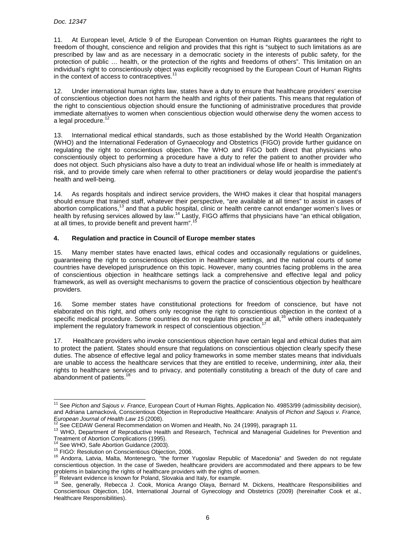11. At European level, Article 9 of the European Convention on Human Rights guarantees the right to freedom of thought, conscience and religion and provides that this right is "subject to such limitations as are prescribed by law and as are necessary in a democratic society in the interests of public safety, for the protection of public … health, or the protection of the rights and freedoms of others". This limitation on an individual's right to conscientiously object was explicitly recognised by the European Court of Human Rights in the context of access to contraceptives. $1$ 

12. Under international human rights law, states have a duty to ensure that healthcare providers' exercise of conscientious objection does not harm the health and rights of their patients. This means that regulation of the right to conscientious objection should ensure the functioning of administrative procedures that provide immediate alternatives to women when conscientious objection would otherwise deny the women access to a legal procedure. $12$ 

13. International medical ethical standards, such as those established by the World Health Organization (WHO) and the International Federation of Gynaecology and Obstetrics (FIGO) provide further guidance on regulating the right to conscientious objection. The WHO and FIGO both direct that physicians who conscientiously object to performing a procedure have a duty to refer the patient to another provider who does not object. Such physicians also have a duty to treat an individual whose life or health is immediately at risk, and to provide timely care when referral to other practitioners or delay would jeopardise the patient's health and well-being.

14. As regards hospitals and indirect service providers, the WHO makes it clear that hospital managers should ensure that trained staff, whatever their perspective, "are available at all times" to assist in cases of abortion complications,<sup>13</sup> and that a public hospital, clinic or health centre cannot endanger women's lives or health by refusing services allowed by law.<sup>14</sup> Lastly, FIGO affirms that physicians have "an ethical obligation, at all times, to provide benefit and prevent harm".

# **4. Regulation and practice in Council of Europe member states**

15. Many member states have enacted laws, ethical codes and occasionally regulations or guidelines, guaranteeing the right to conscientious objection in healthcare settings, and the national courts of some countries have developed jurisprudence on this topic. However, many countries facing problems in the area of conscientious objection in healthcare settings lack a comprehensive and effective legal and policy framework, as well as oversight mechanisms to govern the practice of conscientious objection by healthcare providers.

16. Some member states have constitutional protections for freedom of conscience, but have not elaborated on this right, and others only recognise the right to conscientious objection in the context of a specific medical procedure. Some countries do not regulate this practice at all,<sup>16</sup> while others inadequately implement the regulatory framework in respect of conscientious objection.<sup>17</sup>

17. Healthcare providers who invoke conscientious objection have certain legal and ethical duties that aim to protect the patient. States should ensure that regulations on conscientious objection clearly specify these duties. The absence of effective legal and policy frameworks in some member states means that individuals are unable to access the healthcare services that they are entitled to receive, undermining, inter alia, their rights to healthcare services and to privacy, and potentially constituting a breach of the duty of care and abandonment of patients.<sup>18</sup>

<sup>11&</sup>lt;br><sup>11</sup> See *Pichon and Sajous v. France*, European Court of Human Rights, Application No. 49853/99 (admissibility decision), and Adriana Lamacková, Conscientious Objection in Reproductive Healthcare: Analysis of Pichon and Sajous v. France, European Journal of Health Law 15 (2008).

See CEDAW General Recommendation on Women and Health, No. 24 (1999), paragraph 11.

<sup>&</sup>lt;sup>13</sup> WHO, Department of Reproductive Health and Research, Technical and Managerial Guidelines for Prevention and Treatment of Abortion Complications (1995).

See WHO, Safe Abortion Guidance (2003).

<sup>15</sup> FIGO: Resolution on Conscientious Objection, 2006.

<sup>&</sup>lt;sup>16</sup> Andorra, Latvia, Malta, Montenegro, "the former Yugoslav Republic of Macedonia" and Sweden do not regulate conscientious objection. In the case of Sweden, healthcare providers are accommodated and there appears to be few problems in balancing the rights of healthcare providers with the rights of women.

Relevant evidence is known for Poland, Slovakia and Italy, for example.

<sup>&</sup>lt;sup>18</sup> See, generally, Rebecca J. Cook, Monica Arango Olaya, Bernard M. Dickens, Healthcare Responsibilities and Conscientious Objection, 104, International Journal of Gynecology and Obstetrics (2009) (hereinafter Cook et al., Healthcare Responsibilities).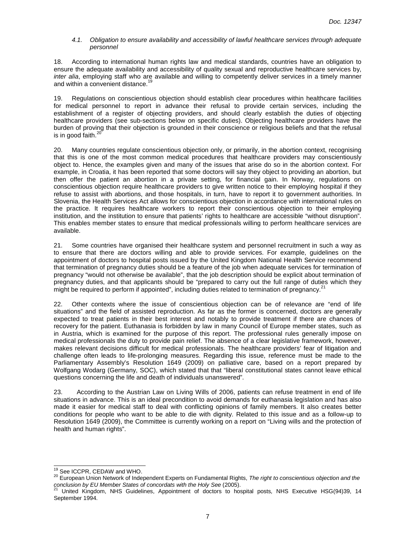#### 4.1. Obligation to ensure availability and accessibility of lawful healthcare services through adequate personnel

18. According to international human rights law and medical standards, countries have an obligation to ensure the adequate availability and accessibility of quality sexual and reproductive healthcare services by, inter alia, employing staff who are available and willing to competently deliver services in a timely manner and within a convenient distance.<sup>1</sup>

19. Regulations on conscientious objection should establish clear procedures within healthcare facilities for medical personnel to report in advance their refusal to provide certain services, including the establishment of a register of objecting providers, and should clearly establish the duties of objecting healthcare providers (see sub-sections below on specific duties). Objecting healthcare providers have the burden of proving that their objection is grounded in their conscience or religious beliefs and that the refusal is in good faith. $^{20}$ 

20. Many countries regulate conscientious objection only, or primarily, in the abortion context, recognising that this is one of the most common medical procedures that healthcare providers may conscientiously object to. Hence, the examples given and many of the issues that arise do so in the abortion context. For example, in Croatia, it has been reported that some doctors will say they object to providing an abortion, but then offer the patient an abortion in a private setting, for financial gain. In Norway, regulations on conscientious objection require healthcare providers to give written notice to their employing hospital if they refuse to assist with abortions, and those hospitals, in turn, have to report it to government authorities. In Slovenia, the Health Services Act allows for conscientious objection in accordance with international rules on the practice. It requires healthcare workers to report their conscientious objection to their employing institution, and the institution to ensure that patients' rights to healthcare are accessible "without disruption". This enables member states to ensure that medical professionals willing to perform healthcare services are available.

21. Some countries have organised their healthcare system and personnel recruitment in such a way as to ensure that there are doctors willing and able to provide services. For example, guidelines on the appointment of doctors to hospital posts issued by the United Kingdom National Health Service recommend that termination of pregnancy duties should be a feature of the job when adequate services for termination of pregnancy "would not otherwise be available", that the job description should be explicit about termination of pregnancy duties, and that applicants should be "prepared to carry out the full range of duties which they might be required to perform if appointed", including duties related to termination of pregnancy.<sup>21</sup>

22. Other contexts where the issue of conscientious objection can be of relevance are "end of life situations" and the field of assisted reproduction. As far as the former is concerned, doctors are generally expected to treat patients in their best interest and notably to provide treatment if there are chances of recovery for the patient. Euthanasia is forbidden by law in many Council of Europe member states, such as in Austria, which is examined for the purpose of this report. The professional rules generally impose on medical professionals the duty to provide pain relief. The absence of a clear legislative framework, however, makes relevant decisions difficult for medical professionals. The healthcare providers' fear of litigation and challenge often leads to life-prolonging measures. Regarding this issue, reference must be made to the Parliamentary Assembly's Resolution 1649 (2009) on palliative care, based on a report prepared by Wolfgang Wodarg (Germany, SOC), which stated that that "liberal constitutional states cannot leave ethical questions concerning the life and death of individuals unanswered".

23. According to the Austrian Law on Living Wills of 2006, patients can refuse treatment in end of life situations in advance. This is an ideal precondition to avoid demands for euthanasia legislation and has also made it easier for medical staff to deal with conflicting opinions of family members. It also creates better conditions for people who want to be able to die with dignity. Related to this issue and as a follow-up to Resolution 1649 (2009), the Committee is currently working on a report on "Living wills and the protection of health and human rights".

<sup>19</sup> See ICCPR, CEDAW and WHO.

<sup>&</sup>lt;sup>20</sup> European Union Network of Independent Experts on Fundamental Rights, The right to conscientious objection and the conclusion by EU Member States of concordats with the Holy See (2005).

<sup>21</sup> United Kingdom, NHS Guidelines, Appointment of doctors to hospital posts, NHS Executive HSG(94)39, 14 September 1994.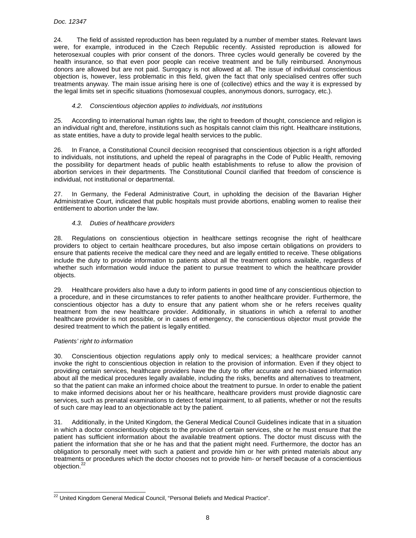24. The field of assisted reproduction has been regulated by a number of member states. Relevant laws were, for example, introduced in the Czech Republic recently. Assisted reproduction is allowed for heterosexual couples with prior consent of the donors. Three cycles would generally be covered by the health insurance, so that even poor people can receive treatment and be fully reimbursed. Anonymous donors are allowed but are not paid. Surrogacy is not allowed at all. The issue of individual conscientious objection is, however, less problematic in this field, given the fact that only specialised centres offer such treatments anyway. The main issue arising here is one of (collective) ethics and the way it is expressed by the legal limits set in specific situations (homosexual couples, anonymous donors, surrogacy, etc.).

## 4.2. Conscientious objection applies to individuals, not institutions

25. According to international human rights law, the right to freedom of thought, conscience and religion is an individual right and, therefore, institutions such as hospitals cannot claim this right. Healthcare institutions, as state entities, have a duty to provide legal health services to the public.

26. In France, a Constitutional Council decision recognised that conscientious objection is a right afforded to individuals, not institutions, and upheld the repeal of paragraphs in the Code of Public Health, removing the possibility for department heads of public health establishments to refuse to allow the provision of abortion services in their departments. The Constitutional Council clarified that freedom of conscience is individual, not institutional or departmental.

27. In Germany, the Federal Administrative Court, in upholding the decision of the Bavarian Higher Administrative Court, indicated that public hospitals must provide abortions, enabling women to realise their entitlement to abortion under the law.

## 4.3. Duties of healthcare providers

28. Regulations on conscientious objection in healthcare settings recognise the right of healthcare providers to object to certain healthcare procedures, but also impose certain obligations on providers to ensure that patients receive the medical care they need and are legally entitled to receive. These obligations include the duty to provide information to patients about all the treatment options available, regardless of whether such information would induce the patient to pursue treatment to which the healthcare provider objects.

29. Healthcare providers also have a duty to inform patients in good time of any conscientious objection to a procedure, and in these circumstances to refer patients to another healthcare provider. Furthermore, the conscientious objector has a duty to ensure that any patient whom she or he refers receives quality treatment from the new healthcare provider. Additionally, in situations in which a referral to another healthcare provider is not possible, or in cases of emergency, the conscientious objector must provide the desired treatment to which the patient is legally entitled.

## Patients' right to information

30. Conscientious objection regulations apply only to medical services; a healthcare provider cannot invoke the right to conscientious objection in relation to the provision of information. Even if they object to providing certain services, healthcare providers have the duty to offer accurate and non-biased information about all the medical procedures legally available, including the risks, benefits and alternatives to treatment, so that the patient can make an informed choice about the treatment to pursue. In order to enable the patient to make informed decisions about her or his healthcare, healthcare providers must provide diagnostic care services, such as prenatal examinations to detect foetal impairment, to all patients, whether or not the results of such care may lead to an objectionable act by the patient.

31. Additionally, in the United Kingdom, the General Medical Council Guidelines indicate that in a situation in which a doctor conscientiously objects to the provision of certain services, she or he must ensure that the patient has sufficient information about the available treatment options. The doctor must discuss with the patient the information that she or he has and that the patient might need. Furthermore, the doctor has an obligation to personally meet with such a patient and provide him or her with printed materials about any treatments or procedures which the doctor chooses not to provide him- or herself because of a conscientious objection.<sup>22</sup>

 $\overline{a^2}$  United Kingdom General Medical Council, "Personal Beliefs and Medical Practice".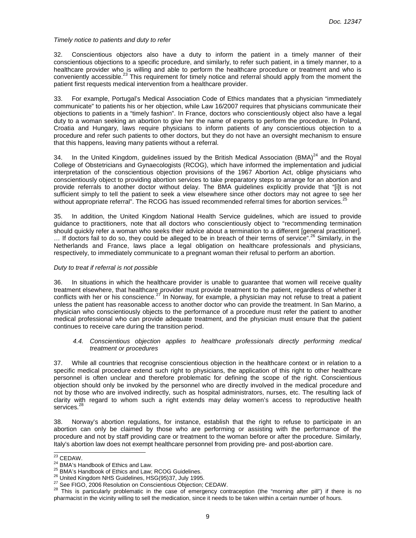#### Timely notice to patients and duty to refer

32. Conscientious objectors also have a duty to inform the patient in a timely manner of their conscientious objections to a specific procedure, and similarly, to refer such patient, in a timely manner, to a healthcare provider who is willing and able to perform the healthcare procedure or treatment and who is conveniently accessible.<sup>23</sup> This requirement for timely notice and referral should apply from the moment the patient first requests medical intervention from a healthcare provider.

33. For example, Portugal's Medical Association Code of Ethics mandates that a physician "immediately communicate" to patients his or her objection, while Law 16/2007 requires that physicians communicate their objections to patients in a "timely fashion". In France, doctors who conscientiously object also have a legal duty to a woman seeking an abortion to give her the name of experts to perform the procedure. In Poland, Croatia and Hungary, laws require physicians to inform patients of any conscientious objection to a procedure and refer such patients to other doctors, but they do not have an oversight mechanism to ensure that this happens, leaving many patients without a referral.

34. In the United Kingdom, guidelines issued by the British Medical Association (BMA)<sup>24</sup> and the Royal College of Obstetricians and Gynaecologists (RCOG), which have informed the implementation and judicial interpretation of the conscientious objection provisions of the 1967 Abortion Act, oblige physicians who conscientiously object to providing abortion services to take preparatory steps to arrange for an abortion and provide referrals to another doctor without delay. The BMA guidelines explicitly provide that "[i]t is not sufficient simply to tell the patient to seek a view elsewhere since other doctors may not agree to see her without appropriate referral". The RCOG has issued recommended referral times for abortion services.<sup>25</sup>

35. In addition, the United Kingdom National Health Service guidelines, which are issued to provide guidance to practitioners, note that all doctors who conscientiously object to "recommending termination should quickly refer a woman who seeks their advice about a termination to a different [general practitioner].  $\ldots$  If doctors fail to do so, they could be alleged to be in breach of their terms of service".<sup>26</sup> Similarly, in the Netherlands and France, laws place a legal obligation on healthcare professionals and physicians, respectively, to immediately communicate to a pregnant woman their refusal to perform an abortion.

#### Duty to treat if referral is not possible

36. In situations in which the healthcare provider is unable to guarantee that women will receive quality treatment elsewhere, that healthcare provider must provide treatment to the patient, regardless of whether it conflicts with her or his conscience.<sup>27</sup> In Norway, for example, a physician may not refuse to treat a patient unless the patient has reasonable access to another doctor who can provide the treatment. In San Marino, a physician who conscientiously objects to the performance of a procedure must refer the patient to another medical professional who can provide adequate treatment, and the physician must ensure that the patient continues to receive care during the transition period.

#### 4.4. Conscientious objection applies to healthcare professionals directly performing medical treatment or procedures

37. While all countries that recognise conscientious objection in the healthcare context or in relation to a specific medical procedure extend such right to physicians, the application of this right to other healthcare personnel is often unclear and therefore problematic for defining the scope of the right. Conscientious objection should only be invoked by the personnel who are directly involved in the medical procedure and not by those who are involved indirectly, such as hospital administrators, nurses, etc. The resulting lack of clarity with regard to whom such a right extends may delay women's access to reproductive health services.<sup>28</sup>

38. Norway's abortion regulations, for instance, establish that the right to refuse to participate in an abortion can only be claimed by those who are performing or assisting with the performance of the procedure and not by staff providing care or treatment to the woman before or after the procedure. Similarly, Italy's abortion law does not exempt healthcare personnel from providing pre- and post-abortion care.

 $23$  CEDAW.

<sup>&</sup>lt;sup>24</sup> BMA's Handbook of Ethics and Law.

<sup>&</sup>lt;sup>25</sup> BMA's Handbook of Ethics and Law; RCOG Guidelines.

<sup>&</sup>lt;sup>26</sup> United Kingdom NHS Guidelines, HSG(95)37, July 1995.

See FIGO, 2006 Resolution on Conscientious Objection; CEDAW.

<sup>&</sup>lt;sup>28</sup> This is particularly problematic in the case of emergency contraception (the "morning after pill") if there is no pharmacist in the vicinity willing to sell the medication, since it needs to be taken within a certain number of hours.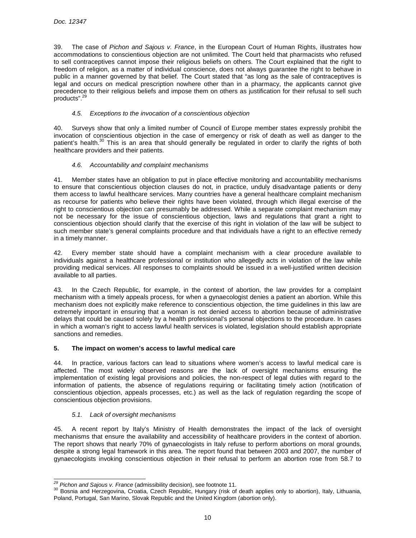39. The case of Pichon and Sajous v. France, in the European Court of Human Rights, illustrates how accommodations to conscientious objection are not unlimited. The Court held that pharmacists who refused to sell contraceptives cannot impose their religious beliefs on others. The Court explained that the right to freedom of religion, as a matter of individual conscience, does not always guarantee the right to behave in public in a manner governed by that belief. The Court stated that "as long as the sale of contraceptives is legal and occurs on medical prescription nowhere other than in a pharmacy, the applicants cannot give precedence to their religious beliefs and impose them on others as justification for their refusal to sell such products".<sup>29</sup>

## 4.5. Exceptions to the invocation of a conscientious objection

40. Surveys show that only a limited number of Council of Europe member states expressly prohibit the invocation of conscientious objection in the case of emergency or risk of death as well as danger to the patient's health.<sup>30</sup> This is an area that should generally be regulated in order to clarify the rights of both healthcare providers and their patients.

# 4.6. Accountability and complaint mechanisms

41. Member states have an obligation to put in place effective monitoring and accountability mechanisms to ensure that conscientious objection clauses do not, in practice, unduly disadvantage patients or deny them access to lawful healthcare services. Many countries have a general healthcare complaint mechanism as recourse for patients who believe their rights have been violated, through which illegal exercise of the right to conscientious objection can presumably be addressed. While a separate complaint mechanism may not be necessary for the issue of conscientious objection, laws and regulations that grant a right to conscientious objection should clarify that the exercise of this right in violation of the law will be subject to such member state's general complaints procedure and that individuals have a right to an effective remedy in a timely manner.

42. Every member state should have a complaint mechanism with a clear procedure available to individuals against a healthcare professional or institution who allegedly acts in violation of the law while providing medical services. All responses to complaints should be issued in a well-justified written decision available to all parties.

43. In the Czech Republic, for example, in the context of abortion, the law provides for a complaint mechanism with a timely appeals process, for when a gynaecologist denies a patient an abortion. While this mechanism does not explicitly make reference to conscientious objection, the time guidelines in this law are extremely important in ensuring that a woman is not denied access to abortion because of administrative delays that could be caused solely by a health professional's personal objections to the procedure. In cases in which a woman's right to access lawful health services is violated, legislation should establish appropriate sanctions and remedies.

## **5. The impact on women's access to lawful medical care**

44. In practice, various factors can lead to situations where women's access to lawful medical care is affected. The most widely observed reasons are the lack of oversight mechanisms ensuring the implementation of existing legal provisions and policies, the non-respect of legal duties with regard to the information of patients, the absence of regulations requiring or facilitating timely action (notification of conscientious objection, appeals processes, etc.) as well as the lack of regulation regarding the scope of conscientious objection provisions.

# 5.1. Lack of oversight mechanisms

45. A recent report by Italy's Ministry of Health demonstrates the impact of the lack of oversight mechanisms that ensure the availability and accessibility of healthcare providers in the context of abortion. The report shows that nearly 70% of gynaecologists in Italy refuse to perform abortions on moral grounds, despite a strong legal framework in this area. The report found that between 2003 and 2007, the number of gynaecologists invoking conscientious objection in their refusal to perform an abortion rose from 58.7 to

 $^{29}$  Pichon and Sajous v. France (admissibility decision), see footnote 11.

<sup>&</sup>lt;sup>30</sup> Bosnia and Herzegovina, Croatia, Czech Republic, Hungary (risk of death applies only to abortion), Italy, Lithuania, Poland, Portugal, San Marino, Slovak Republic and the United Kingdom (abortion only).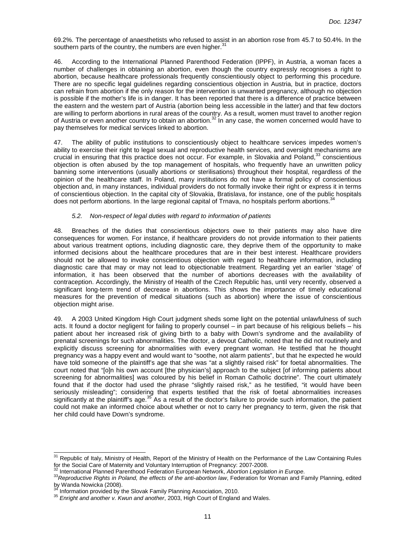69.2%. The percentage of anaesthetists who refused to assist in an abortion rose from 45.7 to 50.4%. In the southern parts of the country, the numbers are even higher. $31$ 

46. According to the International Planned Parenthood Federation (IPPF), in Austria, a woman faces a number of challenges in obtaining an abortion, even though the country expressly recognises a right to abortion, because healthcare professionals frequently conscientiously object to performing this procedure. There are no specific legal guidelines regarding conscientious objection in Austria, but in practice, doctors can refrain from abortion if the only reason for the intervention is unwanted pregnancy, although no objection is possible if the mother's life is in danger. It has been reported that there is a difference of practice between the eastern and the western part of Austria (abortion being less accessible in the latter) and that few doctors are willing to perform abortions in rural areas of the country. As a result, women must travel to another region of Austria or even another country to obtain an abortion. $32$  In any case, the women concerned would have to pay themselves for medical services linked to abortion.

47. The ability of public institutions to conscientiously object to healthcare services impedes women's ability to exercise their right to legal sexual and reproductive health services, and oversight mechanisms are crucial in ensuring that this practice does not occur. For example, in Slovakia and Poland,<sup>33</sup> conscientious objection is often abused by the top management of hospitals, who frequently have an unwritten policy banning some interventions (usually abortions or sterilisations) throughout their hospital, regardless of the opinion of the healthcare staff. In Poland, many institutions do not have a formal policy of conscientious objection and, in many instances, individual providers do not formally invoke their right or express it in terms of conscientious objection. In the capital city of Slovakia, Bratislava, for instance, one of the public hospitals does not perform abortions. In the large regional capital of Trnava, no hospitals perform abortions.

#### 5.2. Non-respect of legal duties with regard to information of patients

48. Breaches of the duties that conscientious objectors owe to their patients may also have dire consequences for women. For instance, if healthcare providers do not provide information to their patients about various treatment options, including diagnostic care, they deprive them of the opportunity to make informed decisions about the healthcare procedures that are in their best interest. Healthcare providers should not be allowed to invoke conscientious objection with regard to healthcare information, including diagnostic care that may or may not lead to objectionable treatment. Regarding yet an earlier 'stage' of information, it has been observed that the number of abortions decreases with the availability of contraception. Accordingly, the Ministry of Health of the Czech Republic has, until very recently, observed a significant long-term trend of decrease in abortions. This shows the importance of timely educational measures for the prevention of medical situations (such as abortion) where the issue of conscientious objection might arise.

49. A 2003 United Kingdom High Court judgment sheds some light on the potential unlawfulness of such acts. It found a doctor negligent for failing to properly counsel – in part because of his religious beliefs – his patient about her increased risk of giving birth to a baby with Down's syndrome and the availability of prenatal screenings for such abnormalities. The doctor, a devout Catholic, noted that he did not routinely and explicitly discuss screening for abnormalities with every pregnant woman. He testified that he thought pregnancy was a happy event and would want to "soothe, not alarm patients", but that he expected he would have told someone of the plaintiff's age that she was "at a slightly raised risk" for foetal abnormalities. The court noted that "[o]n his own account [the physician's] approach to the subject [of informing patients about screening for abnormalities] was coloured by his belief in Roman Catholic doctrine". The court ultimately found that if the doctor had used the phrase "slightly raised risk," as he testified, "it would have been seriously misleading"; considering that experts testified that the risk of foetal abnormalities increases significantly at the plaintiff's age.<sup>35</sup> As a result of the doctor's failure to provide such information, the patient could not make an informed choice about whether or not to carry her pregnancy to term, given the risk that her child could have Down's syndrome.

 $\overline{a}$ 

<sup>31</sup> Republic of Italy, Ministry of Health, Report of the Ministry of Health on the Performance of the Law Containing Rules for the Social Care of Maternity and Voluntary Interruption of Pregnancy: 2007-2008.

International Planned Parenthood Federation European Network, Abortion Legislation in Europe.

<sup>33</sup> Reproductive Rights in Poland, the effects of the anti-abortion law, Federation for Woman and Family Planning, edited by Wanda Nowicka (2008).

Information provided by the Slovak Family Planning Association, 2010.

<sup>35</sup> Enright and another v. Kwun and another, 2003, High Court of England and Wales.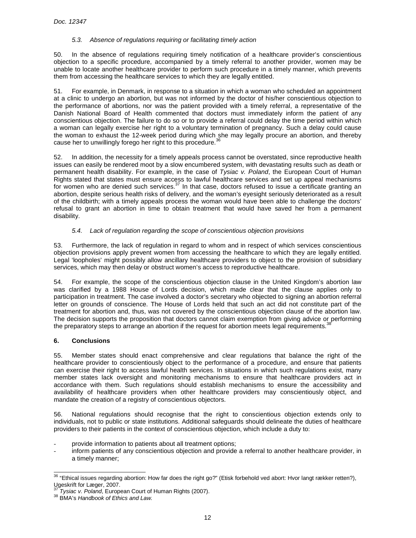# 5.3. Absence of regulations requiring or facilitating timely action

50. In the absence of regulations requiring timely notification of a healthcare provider's conscientious objection to a specific procedure, accompanied by a timely referral to another provider, women may be unable to locate another healthcare provider to perform such procedure in a timely manner, which prevents them from accessing the healthcare services to which they are legally entitled.

51. For example, in Denmark, in response to a situation in which a woman who scheduled an appointment at a clinic to undergo an abortion, but was not informed by the doctor of his/her conscientious objection to the performance of abortions, nor was the patient provided with a timely referral, a representative of the Danish National Board of Health commented that doctors must immediately inform the patient of any conscientious objection. The failure to do so or to provide a referral could delay the time period within which a woman can legally exercise her right to a voluntary termination of pregnancy. Such a delay could cause the woman to exhaust the 12-week period during which she may legally procure an abortion, and thereby cause her to unwillingly forego her right to this procedure.  $36$ 

52. In addition, the necessity for a timely appeals process cannot be overstated, since reproductive health issues can easily be rendered moot by a slow encumbered system, with devastating results such as death or permanent health disability. For example, in the case of Tysiac v. Poland, the European Court of Human Rights stated that states must ensure access to lawful healthcare services and set up appeal mechanisms for women who are denied such services.<sup>37</sup> In that case, doctors refused to issue a certificate granting an abortion, despite serious health risks of delivery, and the woman's eyesight seriously deteriorated as a result of the childbirth; with a timely appeals process the woman would have been able to challenge the doctors' refusal to grant an abortion in time to obtain treatment that would have saved her from a permanent disability.

# 5.4. Lack of regulation regarding the scope of conscientious objection provisions

53. Furthermore, the lack of regulation in regard to whom and in respect of which services conscientious objection provisions apply prevent women from accessing the healthcare to which they are legally entitled. Legal 'loopholes' might possibly allow ancillary healthcare providers to object to the provision of subsidiary services, which may then delay or obstruct women's access to reproductive healthcare.

54. For example, the scope of the conscientious objection clause in the United Kingdom's abortion law was clarified by a 1988 House of Lords decision, which made clear that the clause applies only to participation in treatment. The case involved a doctor's secretary who objected to signing an abortion referral letter on grounds of conscience. The House of Lords held that such an act did not constitute part of the treatment for abortion and, thus, was not covered by the conscientious objection clause of the abortion law. The decision supports the proposition that doctors cannot claim exemption from giving advice or performing the preparatory steps to arrange an abortion if the request for abortion meets legal requirements.<sup>38</sup>

## **6. Conclusions**

55. Member states should enact comprehensive and clear regulations that balance the right of the healthcare provider to conscientiously object to the performance of a procedure, and ensure that patients can exercise their right to access lawful health services. In situations in which such regulations exist, many member states lack oversight and monitoring mechanisms to ensure that healthcare providers act in accordance with them. Such regulations should establish mechanisms to ensure the accessibility and availability of healthcare providers when other healthcare providers may conscientiously object, and mandate the creation of a registry of conscientious objectors.

56. National regulations should recognise that the right to conscientious objection extends only to individuals, not to public or state institutions. Additional safeguards should delineate the duties of healthcare providers to their patients in the context of conscientious objection, which include a duty to:

- provide information to patients about all treatment options;
- inform patients of any conscientious objection and provide a referral to another healthcare provider, in a timely manner;

 <sup>36</sup> "Ethical issues regarding abortion: How far does the right go?" (Etisk forbehold ved abort: Hvor langt rækker retten?), Ugeskrift for Læger, 2007.

Tysiac v. Poland, European Court of Human Rights (2007).

<sup>38</sup> BMA's Handbook of Ethics and Law.